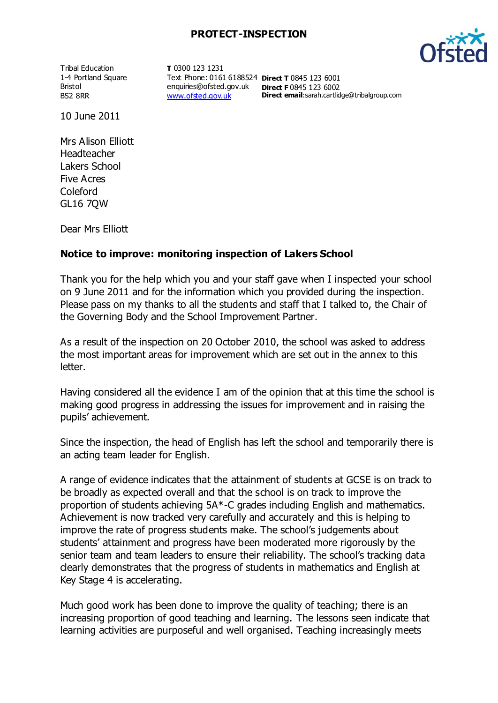## **PROTECT-INSPECTION**

Tribal Education 1-4 Portland Square Bristol BS2 8RR

**T** 0300 123 1231 Text Phone: 0161 6188524 **Direct T** 0845 123 6001 enquiries@ofsted.gov.uk **Direct F** 0845 123 6002 [www.ofsted.gov.uk](http://www.ofsted.gov.uk/)

**Direct email**:sarah.cartlidge@tribalgroup.com

10 June 2011

Mrs Alison Elliott Headteacher Lakers School Five Acres Coleford GL16 7QW

Dear Mrs Elliott

## **Notice to improve: monitoring inspection of Lakers School**

Thank you for the help which you and your staff gave when I inspected your school on 9 June 2011 and for the information which you provided during the inspection. Please pass on my thanks to all the students and staff that I talked to, the Chair of the Governing Body and the School Improvement Partner.

As a result of the inspection on 20 October 2010, the school was asked to address the most important areas for improvement which are set out in the annex to this letter.

Having considered all the evidence I am of the opinion that at this time the school is making good progress in addressing the issues for improvement and in raising the pupils' achievement.

Since the inspection, the head of English has left the school and temporarily there is an acting team leader for English.

A range of evidence indicates that the attainment of students at GCSE is on track to be broadly as expected overall and that the school is on track to improve the proportion of students achieving 5A\*-C grades including English and mathematics. Achievement is now tracked very carefully and accurately and this is helping to improve the rate of progress students make. The school's judgements about students' attainment and progress have been moderated more rigorously by the senior team and team leaders to ensure their reliability. The school's tracking data clearly demonstrates that the progress of students in mathematics and English at Key Stage 4 is accelerating.

Much good work has been done to improve the quality of teaching; there is an increasing proportion of good teaching and learning. The lessons seen indicate that learning activities are purposeful and well organised. Teaching increasingly meets

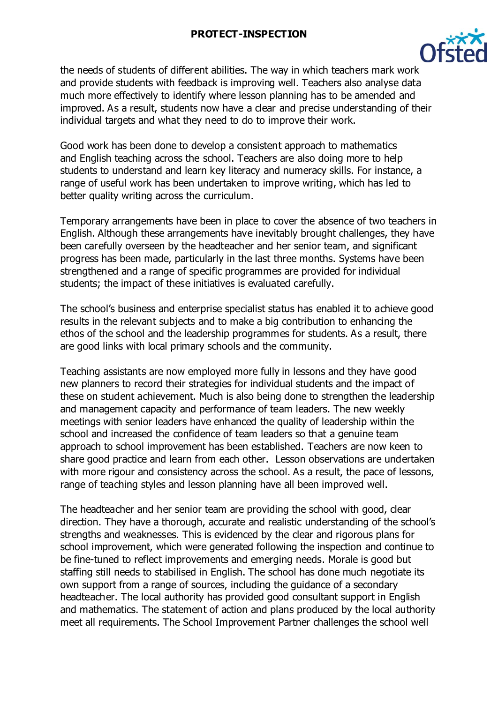#### **PROTECT-INSPECTION**



the needs of students of different abilities. The way in which teachers mark work and provide students with feedback is improving well. Teachers also analyse data much more effectively to identify where lesson planning has to be amended and improved. As a result, students now have a clear and precise understanding of their individual targets and what they need to do to improve their work.

Good work has been done to develop a consistent approach to mathematics and English teaching across the school. Teachers are also doing more to help students to understand and learn key literacy and numeracy skills. For instance, a range of useful work has been undertaken to improve writing, which has led to better quality writing across the curriculum.

Temporary arrangements have been in place to cover the absence of two teachers in English. Although these arrangements have inevitably brought challenges, they have been carefully overseen by the headteacher and her senior team, and significant progress has been made, particularly in the last three months. Systems have been strengthened and a range of specific programmes are provided for individual students; the impact of these initiatives is evaluated carefully.

The school's business and enterprise specialist status has enabled it to achieve good results in the relevant subjects and to make a big contribution to enhancing the ethos of the school and the leadership programmes for students. As a result, there are good links with local primary schools and the community.

Teaching assistants are now employed more fully in lessons and they have good new planners to record their strategies for individual students and the impact of these on student achievement. Much is also being done to strengthen the leadership and management capacity and performance of team leaders. The new weekly meetings with senior leaders have enhanced the quality of leadership within the school and increased the confidence of team leaders so that a genuine team approach to school improvement has been established. Teachers are now keen to share good practice and learn from each other. Lesson observations are undertaken with more rigour and consistency across the school. As a result, the pace of lessons, range of teaching styles and lesson planning have all been improved well.

The headteacher and her senior team are providing the school with good, clear direction. They have a thorough, accurate and realistic understanding of the school's strengths and weaknesses. This is evidenced by the clear and rigorous plans for school improvement, which were generated following the inspection and continue to be fine-tuned to reflect improvements and emerging needs. Morale is good but staffing still needs to stabilised in English. The school has done much negotiate its own support from a range of sources, including the guidance of a secondary headteacher. The local authority has provided good consultant support in English and mathematics. The statement of action and plans produced by the local authority meet all requirements. The School Improvement Partner challenges the school well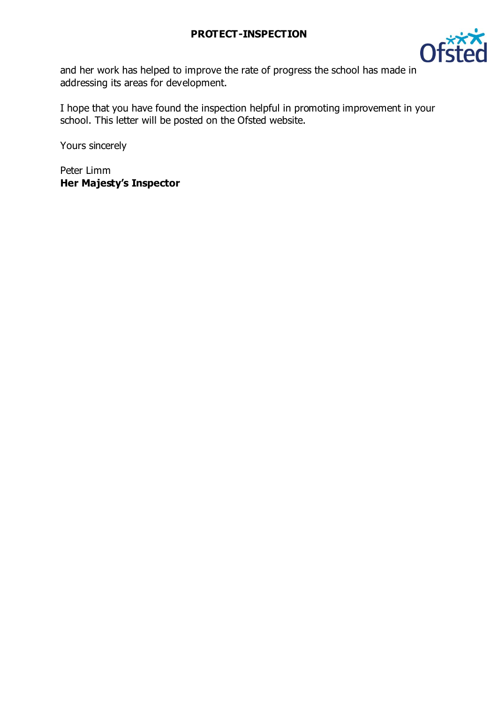

and her work has helped to improve the rate of progress the school has made in addressing its areas for development.

I hope that you have found the inspection helpful in promoting improvement in your school. This letter will be posted on the Ofsted website.

Yours sincerely

Peter Limm **Her Majesty's Inspector**